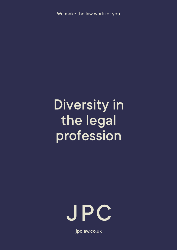We make the law work for you

# Diversity in the legal profession



jpclaw.co.uk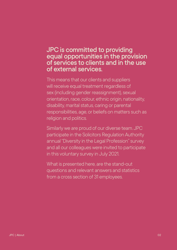### JPC is committed to providing equal opportunities in the provision of services to clients and in the use of external services.

This means that our clients and suppliers will receive equal treatment regardless of sex (including gender reassignment), sexual orientation, race, colour, ethnic origin, nationality, disability, marital status, caring or parental responsibilities, age, or beliefs on matters such as religion and politics.

Similarly we are proud of our diverse team. JPC participate in the Solicitors Regulation Authority annual "Diversity in the Legal Profession" survey and all our colleagues were invited to participate in this voluntary survey in July 2021.

What is presented here, are the stand-out questions and relevant answers and statistics from a cross section of 31 employees.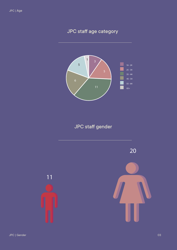## JPC staff age category



JPC staff gender



11

JPC | Gender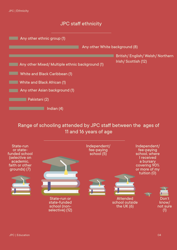

#### JPC staff ethnicity



### Range of schooling attended by JPC staff between the ages of 11 and 16 years of age

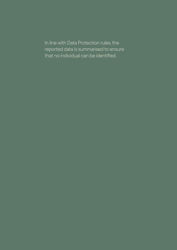In line with Data Protection rules, the reported data is summarised to ensure that no individual can be identified.